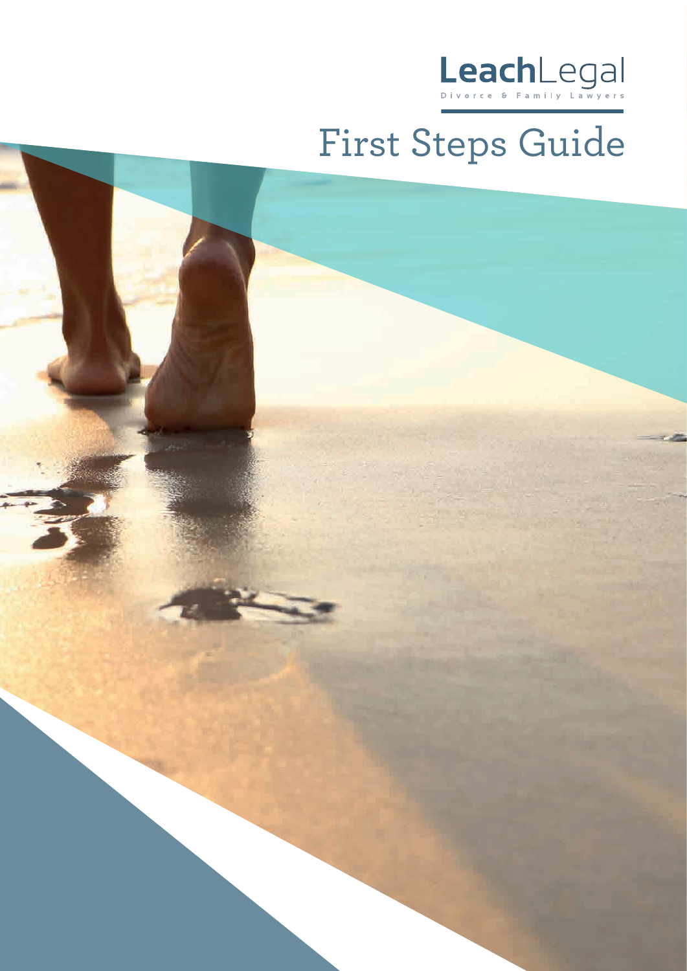

# First Steps Guide

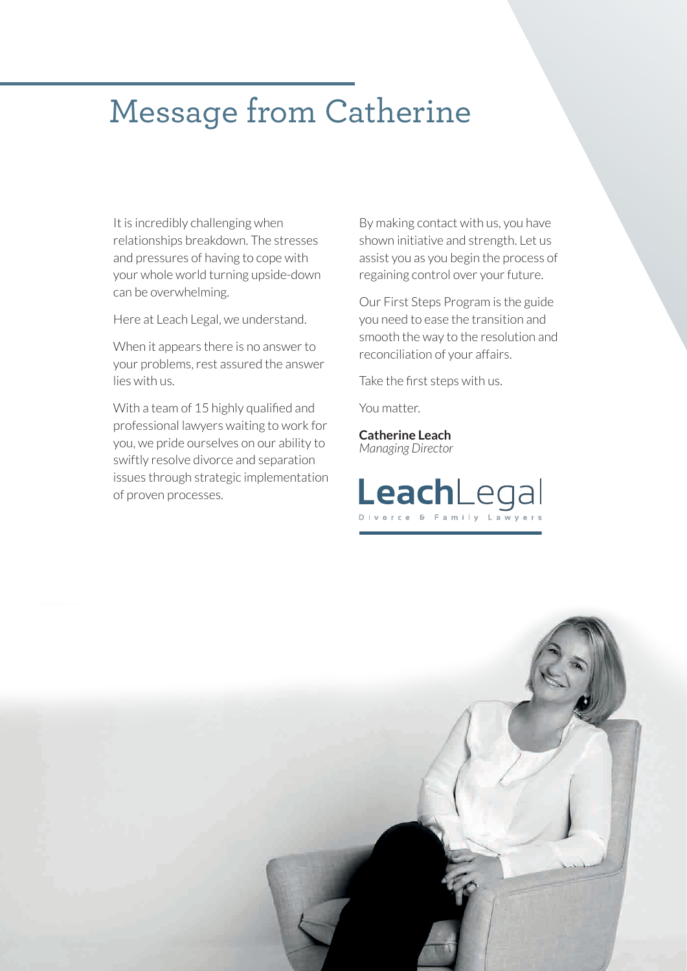### Message from Catherine

It is incredibly challenging when relationships breakdown. The stresses and pressures of having to cope with your whole world turning upside-down can be overwhelming.

Here at Leach Legal, we understand.

When it appears there is no answer to your problems, rest assured the answer lies with us.

With a team of 15 highly qualified and professional lawyers waiting to work for you, we pride ourselves on our ability to swiftly resolve divorce and separation issues through strategic implementation of proven processes.

By making contact with us, you have shown initiative and strength. Let us assist you as you begin the process of regaining control over your future.

Our First Steps Program is the guide you need to ease the transition and smooth the way to the resolution and reconciliation of your affairs.

Take the first steps with us.

You matter.

**Catherine Leach** *Managing Director*



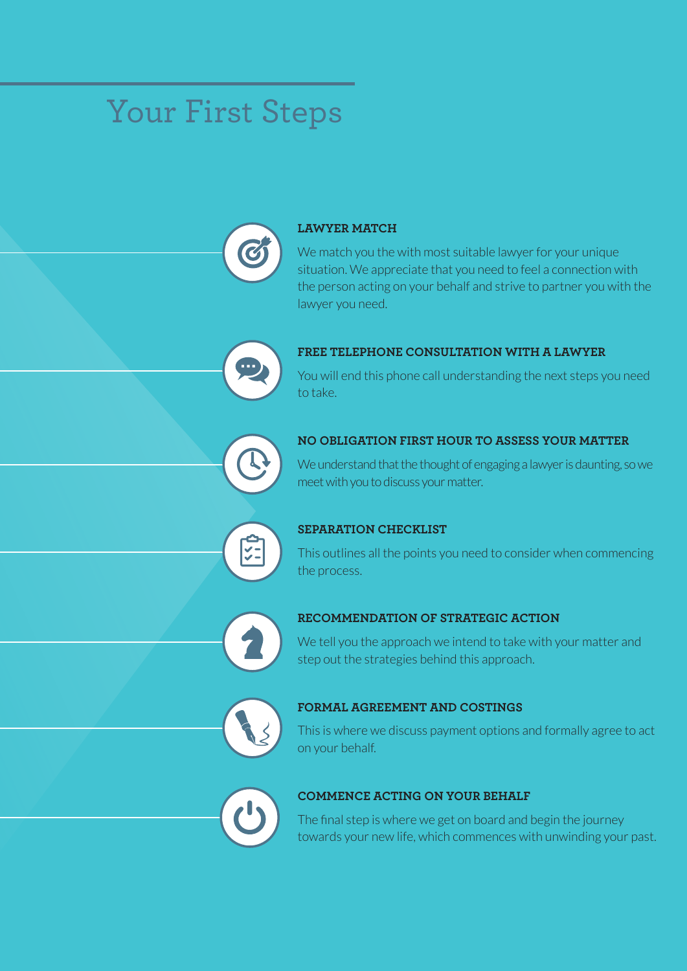# Your First Steps



#### **LAWYER MATCH**

We match you the with most suitable lawyer for your unique situation. We appreciate that you need to feel a connection with the person acting on your behalf and strive to partner you with the lawyer you need.



#### **FREE TELEPHONE CONSULTATION WITH A LAWYER**

You will end this phone call understanding the next steps you need to take.



#### **NO OBLIGATION FIRST HOUR TO ASSESS YOUR MATTER**

We understand that the thought of engaging a lawyer is daunting, so we meet with you to discuss your matter.



This outlines all the points you need to consider when commencing the process.



#### **RECOMMENDATION OF STRATEGIC ACTION**

We tell you the approach we intend to take with your matter and step out the strategies behind this approach.



#### **FORMAL AGREEMENT AND COSTINGS**

This is where we discuss payment options and formally agree to act on your behalf.



#### **COMMENCE ACTING ON YOUR BEHALF**

The final step is where we get on board and begin the journey towards your new life, which commences with unwinding your past.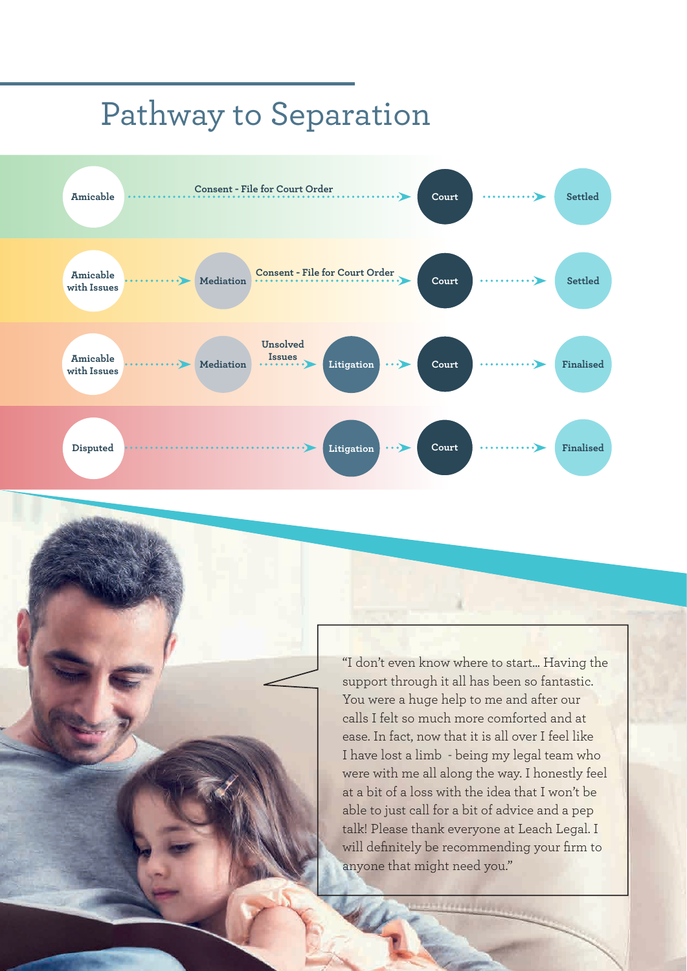## Pathway to Separation



"I don't even know where to start... Having the support through it all has been so fantastic. You were a huge help to me and after our calls I felt so much more comforted and at ease. In fact, now that it is all over I feel like I have lost a limb - being my legal team who were with me all along the way. I honestly feel at a bit of a loss with the idea that I won't be able to just call for a bit of advice and a pep talk! Please thank everyone at Leach Legal. I will definitely be recommending your firm to anyone that might need you."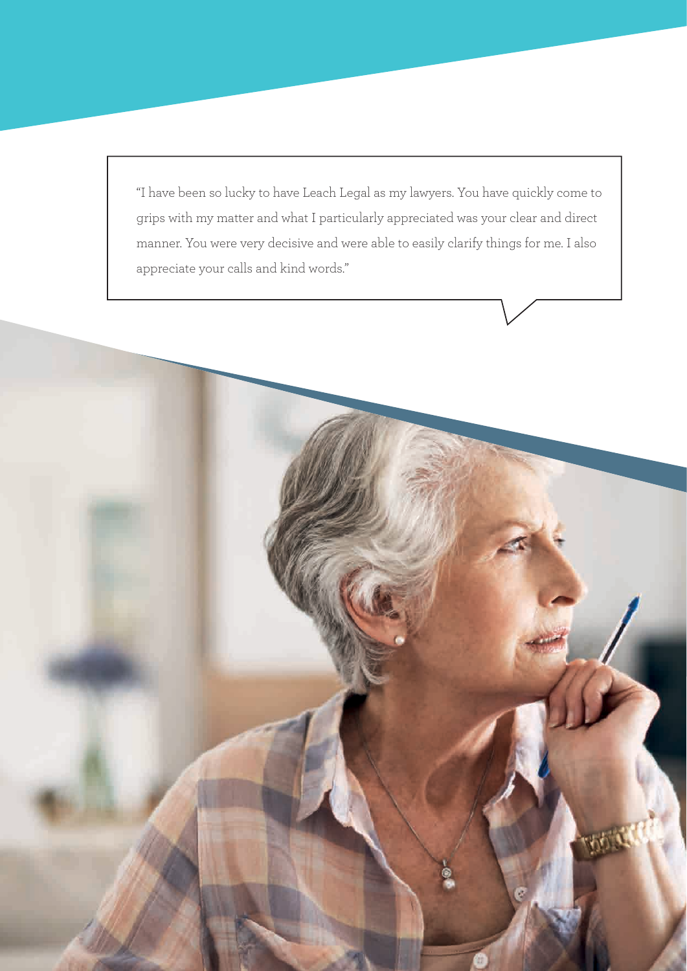"I have been so lucky to have Leach Legal as my lawyers. You have quickly come to grips with my matter and what I particularly appreciated was your clear and direct manner. You were very decisive and were able to easily clarify things for me. I also appreciate your calls and kind words."